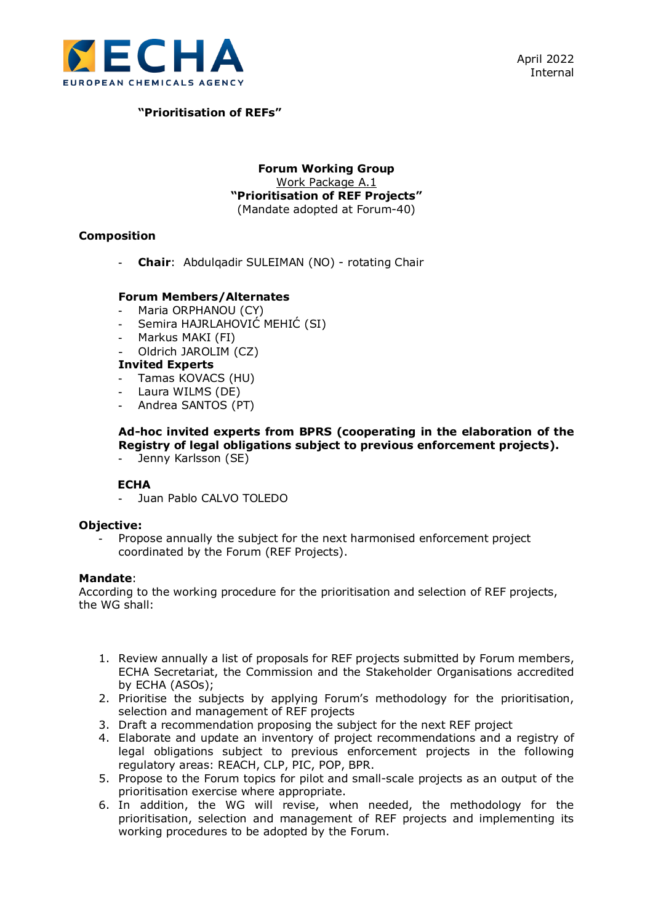

# **"Prioritisation of REFs"**

### **Forum Working Group** Work Package A.1 **"Prioritisation of REF Projects"** (Mandate adopted at Forum-40)

# **Composition**

- **Chair**: Abdulqadir SULEIMAN (NO) - rotating Chair

### **Forum Members/Alternates**

- Maria ORPHANOU (CY)
- Semira HAJRLAHOVIĆ MEHIĆ (SI)
- Markus MAKI (FI)
- Oldrich JAROLIM (CZ)

### **Invited Experts**

- Tamas KOVACS (HU)
- Laura WILMS (DE)
- Andrea SANTOS (PT)

# **Ad-hoc invited experts from BPRS (cooperating in the elaboration of the Registry of legal obligations subject to previous enforcement projects).**

- Jenny Karlsson (SE)

### **ECHA**

- Juan Pablo CALVO TOLEDO

### **Objective:**

- Propose annually the subject for the next harmonised enforcement project coordinated by the Forum (REF Projects).

#### **Mandate**:

According to the working procedure for the prioritisation and selection of REF projects, the WG shall:

- 1. Review annually a list of proposals for REF projects submitted by Forum members, ECHA Secretariat, the Commission and the Stakeholder Organisations accredited by ECHA (ASOs);
- 2. Prioritise the subjects by applying Forum's methodology for the prioritisation, selection and management of REF projects
- 3. Draft a recommendation proposing the subject for the next REF project
- 4. Elaborate and update an inventory of project recommendations and a registry of legal obligations subject to previous enforcement projects in the following regulatory areas: REACH, CLP, PIC, POP, BPR.
- 5. Propose to the Forum topics for pilot and small-scale projects as an output of the prioritisation exercise where appropriate.
- 6. In addition, the WG will revise, when needed, the methodology for the prioritisation, selection and management of REF projects and implementing its working procedures to be adopted by the Forum.